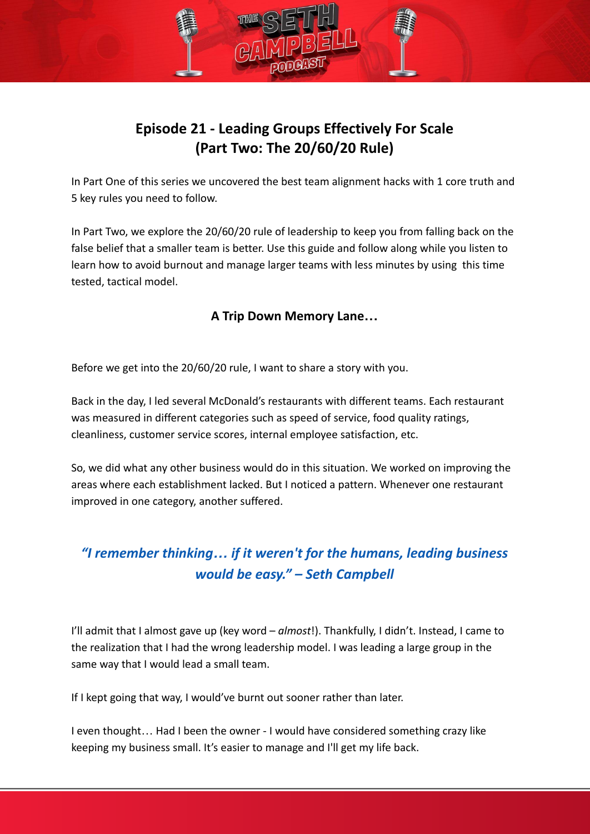# **Episode 21 - Leading Groups Effectively For Scale (Part Two: The 20/60/20 Rule)**

In Part One of this series we uncovered the best team alignment hacks with 1 core truth and 5 key rules you need to follow.

In Part Two, we explore the 20/60/20 rule of leadership to keep you from falling back on the false belief that a smaller team is better. Use this guide and follow along while you listen to learn how to avoid burnout and manage larger teams with less minutes by using this time tested, tactical model.

## **A Trip Down Memory Lane…**

Before we get into the 20/60/20 rule, I want to share a story with you.

Back in the day, I led several McDonald's restaurants with different teams. Each restaurant was measured in different categories such as speed of service, food quality ratings, cleanliness, customer service scores, internal employee satisfaction, etc.

So, we did what any other business would do in this situation. We worked on improving the areas where each establishment lacked. But I noticed a pattern. Whenever one restaurant improved in one category, another suffered.

# *"I remember thinking… if it weren't for the humans, leading business would be easy." – Seth Campbell*

I'll admit that I almost gave up (key word – *almost*!). Thankfully, I didn't. Instead, I came to the realization that I had the wrong leadership model. I was leading a large group in the same way that I would lead a small team.

If I kept going that way, I would've burnt out sooner rather than later.

I even thought… Had I been the owner - I would have considered something crazy like keeping my business small. It's easier to manage and I'll get my life back.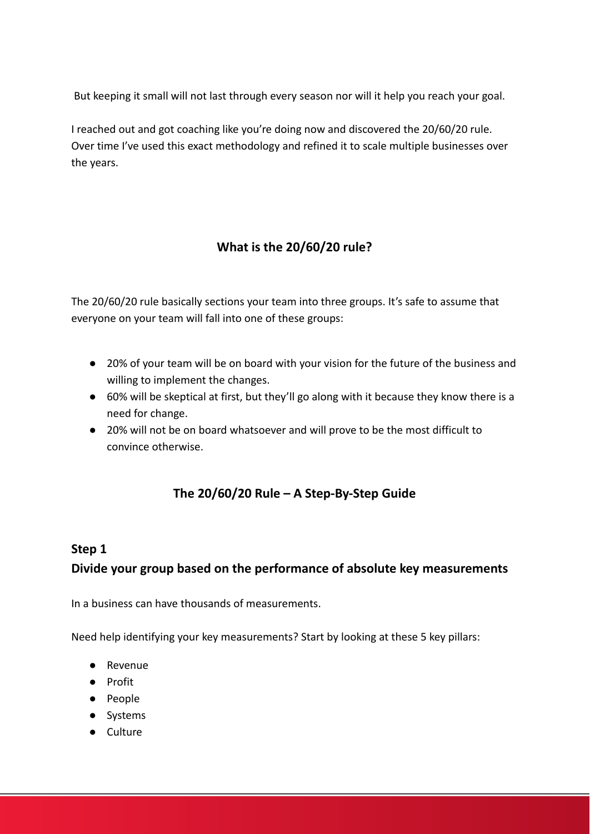But keeping it small will not last through every season nor will it help you reach your goal.

I reached out and got coaching like you're doing now and discovered the 20/60/20 rule. Over time I've used this exact methodology and refined it to scale multiple businesses over the years.

## **What is the 20/60/20 rule?**

The 20/60/20 rule basically sections your team into three groups. It's safe to assume that everyone on your team will fall into one of these groups:

- 20% of your team will be on board with your vision for the future of the business and willing to implement the changes.
- 60% will be skeptical at first, but they'll go along with it because they know there is a need for change.
- 20% will not be on board whatsoever and will prove to be the most difficult to convince otherwise.

## **The 20/60/20 Rule – A Step-By-Step Guide**

### **Step 1**

## **Divide your group based on the performance of absolute key measurements**

In a business can have thousands of measurements.

Need help identifying your key measurements? Start by looking at these 5 key pillars:

- Revenue
- Profit
- People
- Systems
- Culture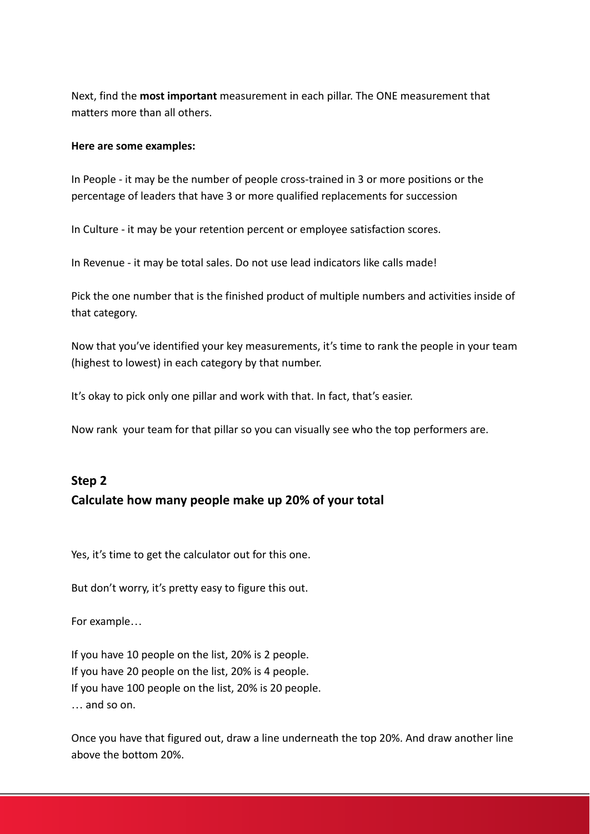Next, find the **most important** measurement in each pillar. The ONE measurement that matters more than all others.

### **Here are some examples:**

In People - it may be the number of people cross-trained in 3 or more positions or the percentage of leaders that have 3 or more qualified replacements for succession

In Culture - it may be your retention percent or employee satisfaction scores.

In Revenue - it may be total sales. Do not use lead indicators like calls made!

Pick the one number that is the finished product of multiple numbers and activities inside of that category.

Now that you've identified your key measurements, it's time to rank the people in your team (highest to lowest) in each category by that number.

It's okay to pick only one pillar and work with that. In fact, that's easier.

Now rank your team for that pillar so you can visually see who the top performers are.

## **Step 2 Calculate how many people make up 20% of your total**

Yes, it's time to get the calculator out for this one.

But don't worry, it's pretty easy to figure this out.

For example…

If you have 10 people on the list, 20% is 2 people. If you have 20 people on the list, 20% is 4 people. If you have 100 people on the list, 20% is 20 people. … and so on.

Once you have that figured out, draw a line underneath the top 20%. And draw another line above the bottom 20%.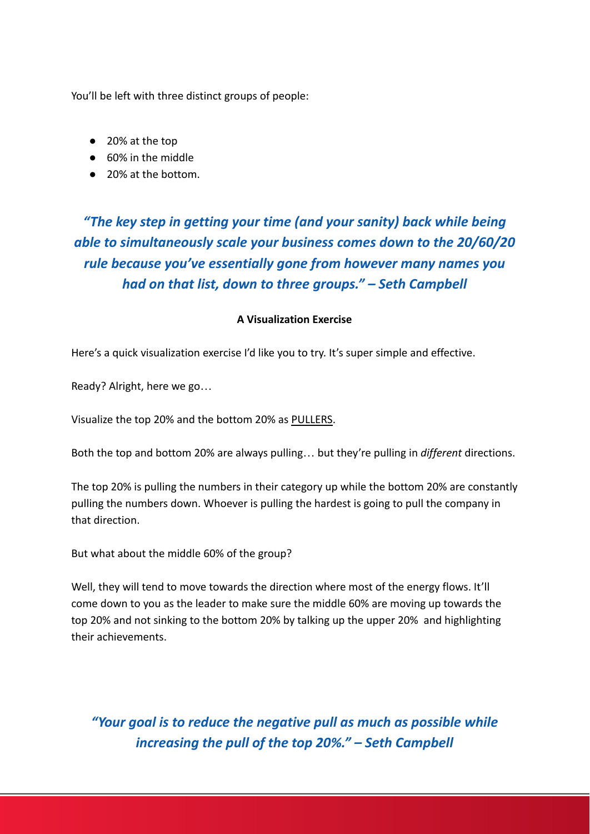You'll be left with three distinct groups of people:

- 20% at the top
- 60% in the middle
- 20% at the bottom.

# *"The key step in getting your time (and your sanity) back while being able to simultaneously scale your business comes down to the 20/60/20 rule because you've essentially gone from however many names you had on that list, down to three groups." – Seth Campbell*

### **A Visualization Exercise**

Here's a quick visualization exercise I'd like you to try. It's super simple and effective.

Ready? Alright, here we go…

Visualize the top 20% and the bottom 20% as PULLERS.

Both the top and bottom 20% are always pulling… but they're pulling in *different* directions.

The top 20% is pulling the numbers in their category up while the bottom 20% are constantly pulling the numbers down. Whoever is pulling the hardest is going to pull the company in that direction.

But what about the middle 60% of the group?

Well, they will tend to move towards the direction where most of the energy flows. It'll come down to you as the leader to make sure the middle 60% are moving up towards the top 20% and not sinking to the bottom 20% by talking up the upper 20% and highlighting their achievements.

*"Your goal is to reduce the negative pull as much as possible while increasing the pull of the top 20%." – Seth Campbell*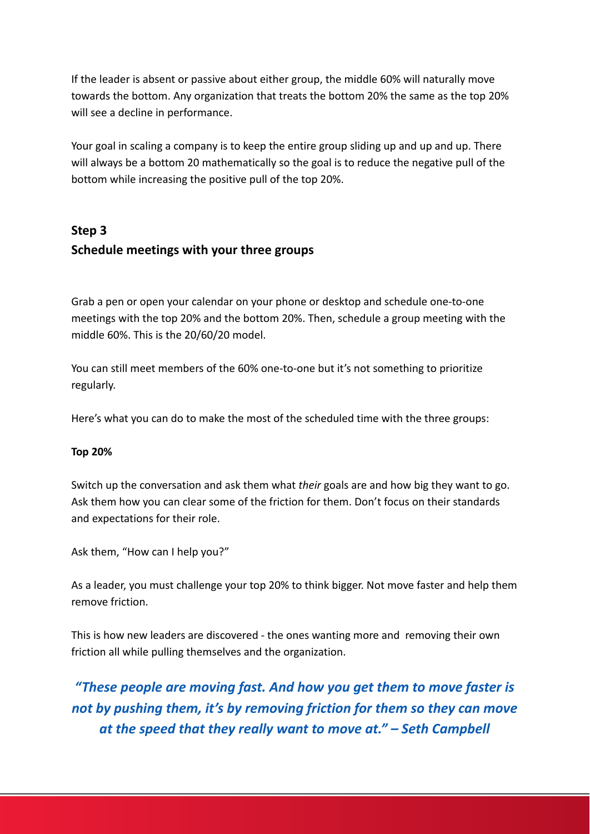If the leader is absent or passive about either group, the middle 60% will naturally move towards the bottom. Any organization that treats the bottom 20% the same as the top 20% will see a decline in performance.

Your goal in scaling a company is to keep the entire group sliding up and up and up. There will always be a bottom 20 mathematically so the goal is to reduce the negative pull of the bottom while increasing the positive pull of the top 20%.

# **Step 3 Schedule meetings with your three groups**

Grab a pen or open your calendar on your phone or desktop and schedule one-to-one meetings with the top 20% and the bottom 20%. Then, schedule a group meeting with the middle 60%. This is the 20/60/20 model.

You can still meet members of the 60% one-to-one but it's not something to prioritize regularly.

Here's what you can do to make the most of the scheduled time with the three groups:

### **Top 20%**

Switch up the conversation and ask them what *their* goals are and how big they want to go. Ask them how you can clear some of the friction for them. Don't focus on their standards and expectations for their role.

Ask them, "How can I help you?"

As a leader, you must challenge your top 20% to think bigger. Not move faster and help them remove friction.

This is how new leaders are discovered - the ones wanting more and removing their own friction all while pulling themselves and the organization.

*"These people are moving fast. And how you get them to move faster is not by pushing them, it's by removing friction for them so they can move at the speed that they really want to move at." – Seth Campbell*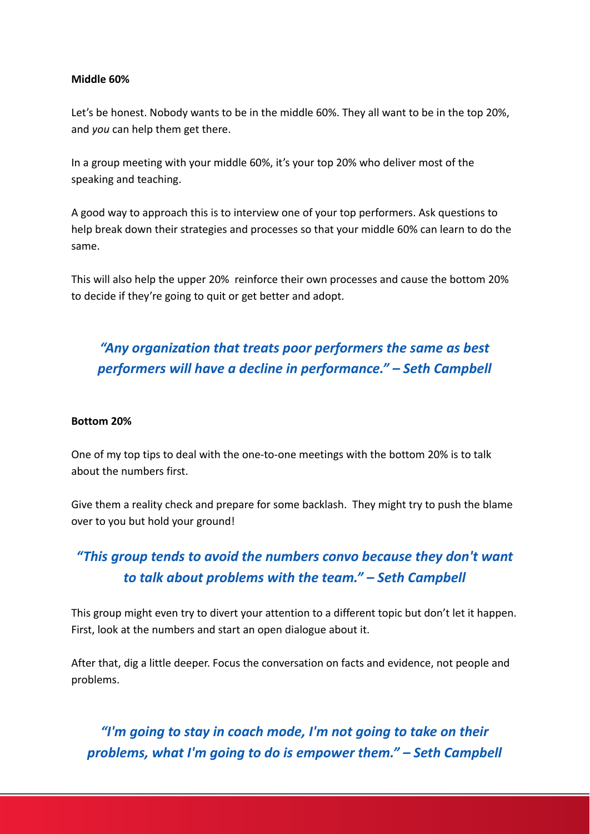### **Middle 60%**

Let's be honest. Nobody wants to be in the middle 60%. They all want to be in the top 20%, and *you* can help them get there.

In a group meeting with your middle 60%, it's your top 20% who deliver most of the speaking and teaching.

A good way to approach this is to interview one of your top performers. Ask questions to help break down their strategies and processes so that your middle 60% can learn to do the same.

This will also help the upper 20% reinforce their own processes and cause the bottom 20% to decide if they're going to quit or get better and adopt.

# *"Any organization that treats poor performers the same as best performers will have a decline in performance." – Seth Campbell*

#### **Bottom 20%**

One of my top tips to deal with the one-to-one meetings with the bottom 20% is to talk about the numbers first.

Give them a reality check and prepare for some backlash. They might try to push the blame over to you but hold your ground!

# *"This group tends to avoid the numbers convo because they don't want to talk about problems with the team." – Seth Campbell*

This group might even try to divert your attention to a different topic but don't let it happen. First, look at the numbers and start an open dialogue about it.

After that, dig a little deeper. Focus the conversation on facts and evidence, not people and problems.

*"I'm going to stay in coach mode, I'm not going to take on their problems, what I'm going to do is empower them." – Seth Campbell*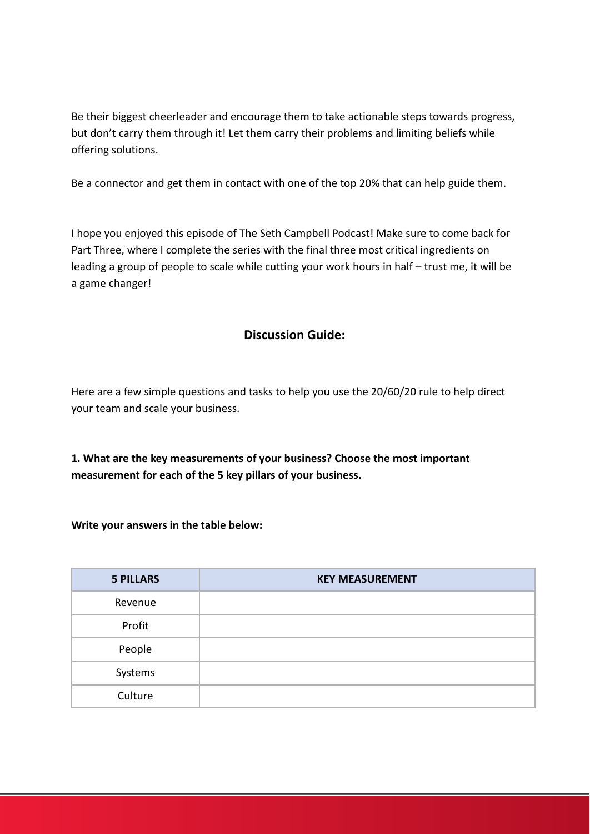Be their biggest cheerleader and encourage them to take actionable steps towards progress, but don't carry them through it! Let them carry their problems and limiting beliefs while offering solutions.

Be a connector and get them in contact with one of the top 20% that can help guide them.

I hope you enjoyed this episode of The Seth Campbell Podcast! Make sure to come back for Part Three, where I complete the series with the final three most critical ingredients on leading a group of people to scale while cutting your work hours in half – trust me, it will be a game changer!

### **Discussion Guide:**

Here are a few simple questions and tasks to help you use the 20/60/20 rule to help direct your team and scale your business.

**1. What are the key measurements of your business? Choose the most important measurement for each of the 5 key pillars of your business.**

**Write your answers in the table below:**

| <b>5 PILLARS</b> | <b>KEY MEASUREMENT</b> |
|------------------|------------------------|
| Revenue          |                        |
| Profit           |                        |
| People           |                        |
| Systems          |                        |
| Culture          |                        |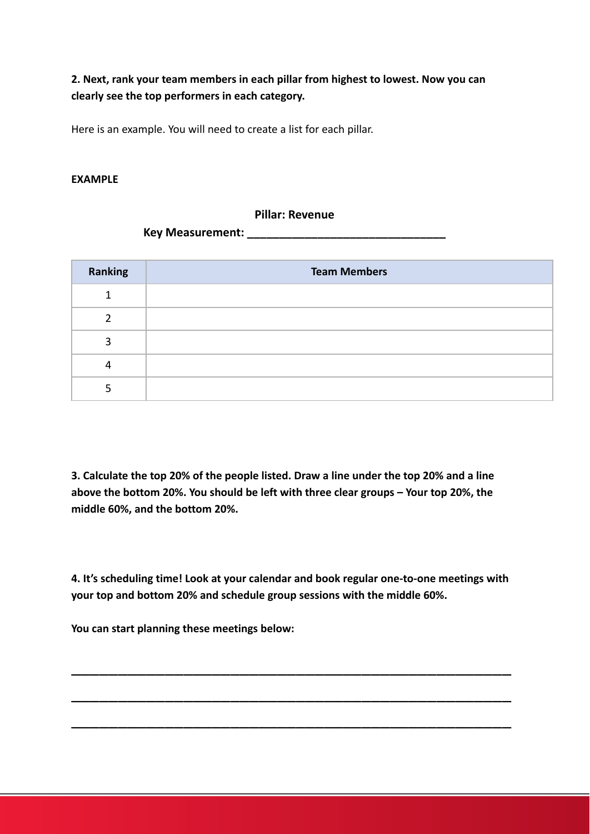**2. Next, rank your team members in each pillar from highest to lowest. Now you can clearly see the top performers in each category.**

Here is an example. You will need to create a list for each pillar.

### **EXAMPLE**

#### **Pillar: Revenue**

**Key Measurement: \_\_\_\_\_\_\_\_\_\_\_\_\_\_\_\_\_\_\_\_\_\_\_\_\_\_\_\_\_\_\_**

| Ranking | <b>Team Members</b> |
|---------|---------------------|
|         |                     |
| ົ       |                     |
| ς       |                     |
|         |                     |
| 5       |                     |

**3. Calculate the top 20% of the people listed. Draw a line under the top 20% and a line above the bottom 20%. You should be left with three clear groups – Your top 20%, the middle 60%, and the bottom 20%.**

**4. It's scheduling time! Look at your calendar and book regular one-to-one meetings with your top and bottom 20% and schedule group sessions with the middle 60%.**

\_\_\_\_\_\_\_\_\_\_\_\_\_\_\_\_\_\_\_\_\_\_\_\_\_\_\_\_\_\_\_\_\_\_\_\_\_\_\_\_\_\_\_\_\_\_\_

\_\_\_\_\_\_\_\_\_\_\_\_\_\_\_\_\_\_\_\_\_\_\_\_\_\_\_\_\_\_\_\_\_\_\_\_\_\_\_\_\_\_\_\_\_\_\_

\_\_\_\_\_\_\_\_\_\_\_\_\_\_\_\_\_\_\_\_\_\_\_\_\_\_\_\_\_\_\_\_\_\_\_\_\_\_\_\_\_\_\_\_\_\_\_

**You can start planning these meetings below:**